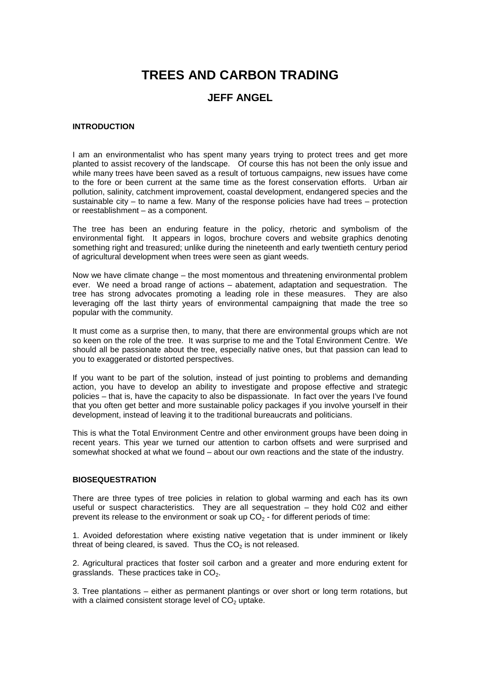# **TREES AND CARBON TRADING**

# **JEFF ANGEL**

#### **INTRODUCTION**

I am an environmentalist who has spent many years trying to protect trees and get more planted to assist recovery of the landscape. Of course this has not been the only issue and while many trees have been saved as a result of tortuous campaigns, new issues have come to the fore or been current at the same time as the forest conservation efforts. Urban air pollution, salinity, catchment improvement, coastal development, endangered species and the sustainable city – to name a few. Many of the response policies have had trees – protection or reestablishment – as a component.

The tree has been an enduring feature in the policy, rhetoric and symbolism of the environmental fight. It appears in logos, brochure covers and website graphics denoting something right and treasured; unlike during the nineteenth and early twentieth century period of agricultural development when trees were seen as giant weeds.

Now we have climate change – the most momentous and threatening environmental problem ever. We need a broad range of actions – abatement, adaptation and sequestration. The tree has strong advocates promoting a leading role in these measures. They are also leveraging off the last thirty years of environmental campaigning that made the tree so popular with the community.

It must come as a surprise then, to many, that there are environmental groups which are not so keen on the role of the tree. It was surprise to me and the Total Environment Centre. We should all be passionate about the tree, especially native ones, but that passion can lead to you to exaggerated or distorted perspectives.

If you want to be part of the solution, instead of just pointing to problems and demanding action, you have to develop an ability to investigate and propose effective and strategic policies – that is, have the capacity to also be dispassionate. In fact over the years I've found that you often get better and more sustainable policy packages if you involve yourself in their development, instead of leaving it to the traditional bureaucrats and politicians.

This is what the Total Environment Centre and other environment groups have been doing in recent years. This year we turned our attention to carbon offsets and were surprised and somewhat shocked at what we found – about our own reactions and the state of the industry.

### **BIOSEQUESTRATION**

There are three types of tree policies in relation to global warming and each has its own useful or suspect characteristics. They are all sequestration – they hold C02 and either prevent its release to the environment or soak up  $CO<sub>2</sub>$  - for different periods of time:

1. Avoided deforestation where existing native vegetation that is under imminent or likely threat of being cleared, is saved. Thus the  $CO<sub>2</sub>$  is not released.

2. Agricultural practices that foster soil carbon and a greater and more enduring extent for grasslands. These practices take in  $CO<sub>2</sub>$ .

3. Tree plantations – either as permanent plantings or over short or long term rotations, but with a claimed consistent storage level of  $CO<sub>2</sub>$  uptake.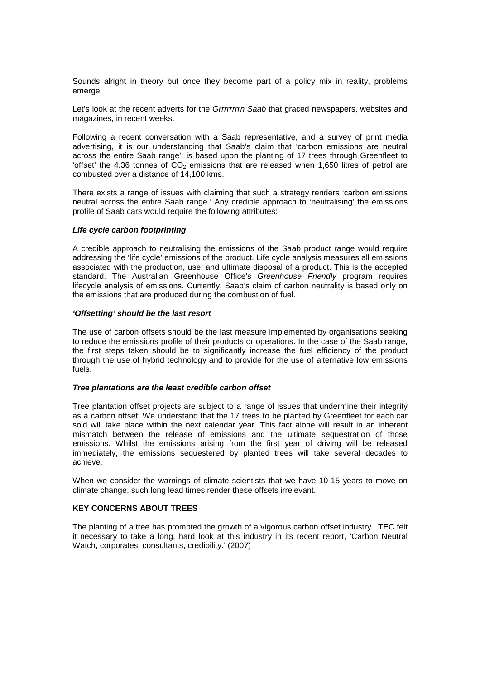Sounds alright in theory but once they become part of a policy mix in reality, problems emerge.

Let's look at the recent adverts for the Grrrrrrrn Saab that graced newspapers, websites and magazines, in recent weeks.

Following a recent conversation with a Saab representative, and a survey of print media advertising, it is our understanding that Saab's claim that 'carbon emissions are neutral across the entire Saab range', is based upon the planting of 17 trees through Greenfleet to 'offset' the 4.36 tonnes of  $CO<sub>2</sub>$  emissions that are released when 1,650 litres of petrol are combusted over a distance of 14,100 kms.

There exists a range of issues with claiming that such a strategy renders 'carbon emissions neutral across the entire Saab range.' Any credible approach to 'neutralising' the emissions profile of Saab cars would require the following attributes:

#### **Life cycle carbon footprinting**

A credible approach to neutralising the emissions of the Saab product range would require addressing the 'life cycle' emissions of the product. Life cycle analysis measures all emissions associated with the production, use, and ultimate disposal of a product. This is the accepted standard. The Australian Greenhouse Office's Greenhouse Friendly program requires lifecycle analysis of emissions. Currently, Saab's claim of carbon neutrality is based only on the emissions that are produced during the combustion of fuel.

#### **'Offsetting' should be the last resort**

The use of carbon offsets should be the last measure implemented by organisations seeking to reduce the emissions profile of their products or operations. In the case of the Saab range, the first steps taken should be to significantly increase the fuel efficiency of the product through the use of hybrid technology and to provide for the use of alternative low emissions fuels.

#### **Tree plantations are the least credible carbon offset**

Tree plantation offset projects are subject to a range of issues that undermine their integrity as a carbon offset. We understand that the 17 trees to be planted by Greenfleet for each car sold will take place within the next calendar year. This fact alone will result in an inherent mismatch between the release of emissions and the ultimate sequestration of those emissions. Whilst the emissions arising from the first year of driving will be released immediately, the emissions sequestered by planted trees will take several decades to achieve.

When we consider the warnings of climate scientists that we have 10-15 years to move on climate change, such long lead times render these offsets irrelevant.

## **KEY CONCERNS ABOUT TREES**

The planting of a tree has prompted the growth of a vigorous carbon offset industry. TEC felt it necessary to take a long, hard look at this industry in its recent report, 'Carbon Neutral Watch, corporates, consultants, credibility.' (2007)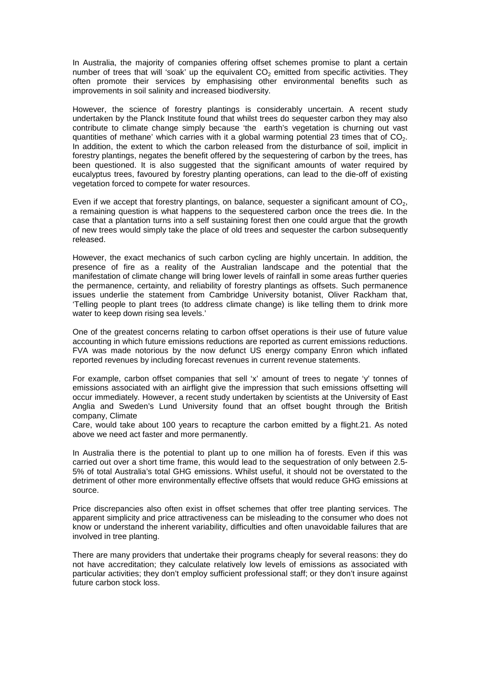In Australia, the majority of companies offering offset schemes promise to plant a certain number of trees that will 'soak' up the equivalent  $CO<sub>2</sub>$  emitted from specific activities. They often promote their services by emphasising other environmental benefits such as improvements in soil salinity and increased biodiversity.

However, the science of forestry plantings is considerably uncertain. A recent study undertaken by the Planck Institute found that whilst trees do sequester carbon they may also contribute to climate change simply because 'the earth's vegetation is churning out vast quantities of methane' which carries with it a global warming potential 23 times that of  $CO<sub>2</sub>$ . In addition, the extent to which the carbon released from the disturbance of soil, implicit in forestry plantings, negates the benefit offered by the sequestering of carbon by the trees, has been questioned. It is also suggested that the significant amounts of water required by eucalyptus trees, favoured by forestry planting operations, can lead to the die-off of existing vegetation forced to compete for water resources.

Even if we accept that forestry plantings, on balance, sequester a significant amount of  $CO<sub>2</sub>$ . a remaining question is what happens to the sequestered carbon once the trees die. In the case that a plantation turns into a self sustaining forest then one could argue that the growth of new trees would simply take the place of old trees and sequester the carbon subsequently released.

However, the exact mechanics of such carbon cycling are highly uncertain. In addition, the presence of fire as a reality of the Australian landscape and the potential that the manifestation of climate change will bring lower levels of rainfall in some areas further queries the permanence, certainty, and reliability of forestry plantings as offsets. Such permanence issues underlie the statement from Cambridge University botanist, Oliver Rackham that, 'Telling people to plant trees (to address climate change) is like telling them to drink more water to keep down rising sea levels.'

One of the greatest concerns relating to carbon offset operations is their use of future value accounting in which future emissions reductions are reported as current emissions reductions. FVA was made notorious by the now defunct US energy company Enron which inflated reported revenues by including forecast revenues in current revenue statements.

For example, carbon offset companies that sell 'x' amount of trees to negate 'y' tonnes of emissions associated with an airflight give the impression that such emissions offsetting will occur immediately. However, a recent study undertaken by scientists at the University of East Anglia and Sweden's Lund University found that an offset bought through the British company, Climate

Care, would take about 100 years to recapture the carbon emitted by a flight.21. As noted above we need act faster and more permanently.

In Australia there is the potential to plant up to one million ha of forests. Even if this was carried out over a short time frame, this would lead to the sequestration of only between 2.5- 5% of total Australia's total GHG emissions. Whilst useful, it should not be overstated to the detriment of other more environmentally effective offsets that would reduce GHG emissions at source.

Price discrepancies also often exist in offset schemes that offer tree planting services. The apparent simplicity and price attractiveness can be misleading to the consumer who does not know or understand the inherent variability, difficulties and often unavoidable failures that are involved in tree planting.

There are many providers that undertake their programs cheaply for several reasons: they do not have accreditation; they calculate relatively low levels of emissions as associated with particular activities; they don't employ sufficient professional staff; or they don't insure against future carbon stock loss.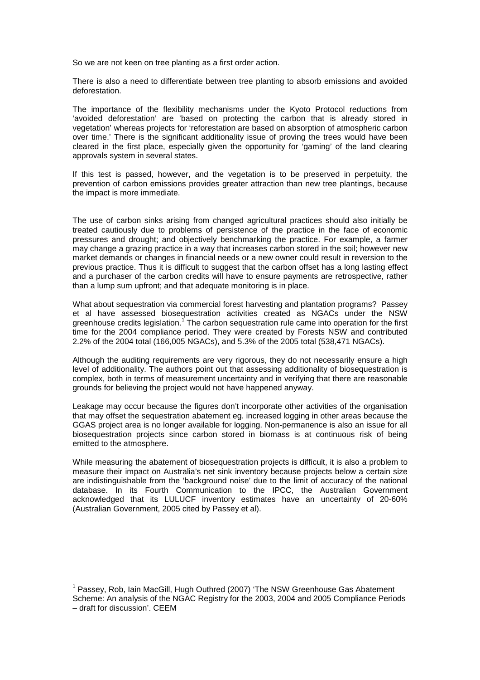So we are not keen on tree planting as a first order action.

There is also a need to differentiate between tree planting to absorb emissions and avoided deforestation.

The importance of the flexibility mechanisms under the Kyoto Protocol reductions from 'avoided deforestation' are 'based on protecting the carbon that is already stored in vegetation' whereas projects for 'reforestation are based on absorption of atmospheric carbon over time.' There is the significant additionality issue of proving the trees would have been cleared in the first place, especially given the opportunity for 'gaming' of the land clearing approvals system in several states.

If this test is passed, however, and the vegetation is to be preserved in perpetuity, the prevention of carbon emissions provides greater attraction than new tree plantings, because the impact is more immediate.

The use of carbon sinks arising from changed agricultural practices should also initially be treated cautiously due to problems of persistence of the practice in the face of economic pressures and drought; and objectively benchmarking the practice. For example, a farmer may change a grazing practice in a way that increases carbon stored in the soil; however new market demands or changes in financial needs or a new owner could result in reversion to the previous practice. Thus it is difficult to suggest that the carbon offset has a long lasting effect and a purchaser of the carbon credits will have to ensure payments are retrospective, rather than a lump sum upfront; and that adequate monitoring is in place.

What about sequestration via commercial forest harvesting and plantation programs? Passey et al have assessed biosequestration activities created as NGACs under the NSW greenhouse credits legislation.<sup>1</sup> The carbon sequestration rule came into operation for the first time for the 2004 compliance period. They were created by Forests NSW and contributed 2.2% of the 2004 total (166,005 NGACs), and 5.3% of the 2005 total (538,471 NGACs).

Although the auditing requirements are very rigorous, they do not necessarily ensure a high level of additionality. The authors point out that assessing additionality of biosequestration is complex, both in terms of measurement uncertainty and in verifying that there are reasonable grounds for believing the project would not have happened anyway.

Leakage may occur because the figures don't incorporate other activities of the organisation that may offset the sequestration abatement eg. increased logging in other areas because the GGAS project area is no longer available for logging. Non-permanence is also an issue for all biosequestration projects since carbon stored in biomass is at continuous risk of being emitted to the atmosphere.

While measuring the abatement of biosequestration projects is difficult, it is also a problem to measure their impact on Australia's net sink inventory because projects below a certain size are indistinguishable from the 'background noise' due to the limit of accuracy of the national database. In its Fourth Communication to the IPCC, the Australian Government acknowledged that its LULUCF inventory estimates have an uncertainty of 20-60% (Australian Government, 2005 cited by Passey et al).

 $\overline{a}$ 

<sup>&</sup>lt;sup>1</sup> Passey, Rob, Iain MacGill, Hugh Outhred (2007) 'The NSW Greenhouse Gas Abatement Scheme: An analysis of the NGAC Registry for the 2003, 2004 and 2005 Compliance Periods – draft for discussion'. CEEM